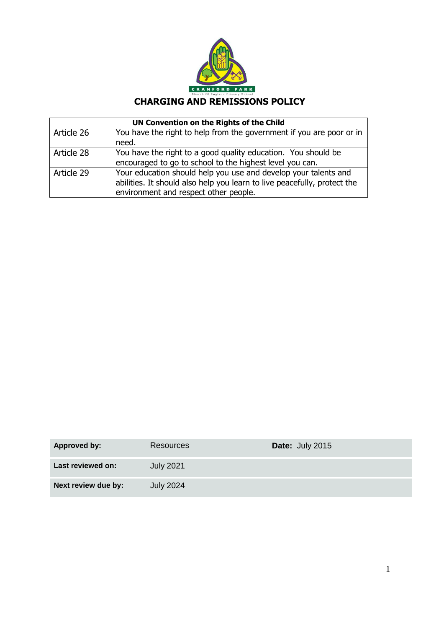

# **CHARGING AND REMISSIONS POLICY**

| UN Convention on the Rights of the Child |                                                                          |  |
|------------------------------------------|--------------------------------------------------------------------------|--|
| Article 26                               | You have the right to help from the government if you are poor or in     |  |
|                                          | need.                                                                    |  |
| Article 28                               | You have the right to a good quality education. You should be            |  |
|                                          | encouraged to go to school to the highest level you can.                 |  |
| Article 29                               | Your education should help you use and develop your talents and          |  |
|                                          | abilities. It should also help you learn to live peacefully, protect the |  |
|                                          | environment and respect other people.                                    |  |

| Approved by:        | <b>Resources</b> | Date: July 2015 |
|---------------------|------------------|-----------------|
| Last reviewed on:   | <b>July 2021</b> |                 |
| Next review due by: | <b>July 2024</b> |                 |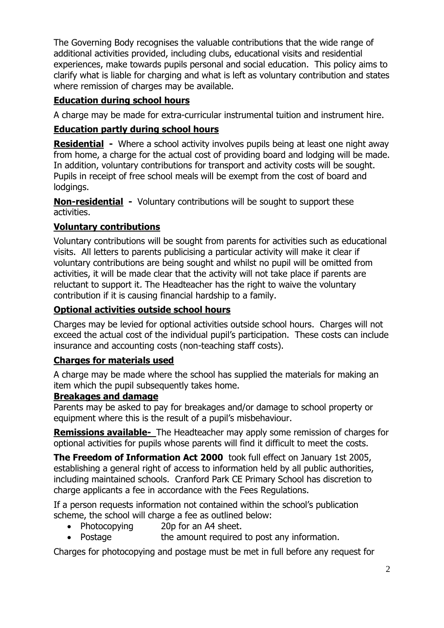The Governing Body recognises the valuable contributions that the wide range of additional activities provided, including clubs, educational visits and residential experiences, make towards pupils personal and social education. This policy aims to clarify what is liable for charging and what is left as voluntary contribution and states where remission of charges may be available.

# **Education during school hours**

A charge may be made for extra-curricular instrumental tuition and instrument hire.

### **Education partly during school hours**

**Residential -** Where a school activity involves pupils being at least one night away from home, a charge for the actual cost of providing board and lodging will be made. In addition, voluntary contributions for transport and activity costs will be sought. Pupils in receipt of free school meals will be exempt from the cost of board and lodgings.

**Non-residential -** Voluntary contributions will be sought to support these activities.

## **Voluntary contributions**

Voluntary contributions will be sought from parents for activities such as educational visits. All letters to parents publicising a particular activity will make it clear if voluntary contributions are being sought and whilst no pupil will be omitted from activities, it will be made clear that the activity will not take place if parents are reluctant to support it. The Headteacher has the right to waive the voluntary contribution if it is causing financial hardship to a family.

### **Optional activities outside school hours**

Charges may be levied for optional activities outside school hours. Charges will not exceed the actual cost of the individual pupil's participation. These costs can include insurance and accounting costs (non-teaching staff costs).

#### **Charges for materials used**

A charge may be made where the school has supplied the materials for making an item which the pupil subsequently takes home.

#### **Breakages and damage**

Parents may be asked to pay for breakages and/or damage to school property or equipment where this is the result of a pupil's misbehaviour.

**Remissions available-** The Headteacher may apply some remission of charges for optional activities for pupils whose parents will find it difficult to meet the costs.

**The Freedom of Information Act 2000** took full effect on January 1st 2005, establishing a general right of access to information held by all public authorities, including maintained schools. Cranford Park CE Primary School has discretion to charge applicants a fee in accordance with the Fees Regulations.

If a person requests information not contained within the school's publication scheme, the school will charge a fee as outlined below:

- Photocopying 20p for an A4 sheet.
- Postage the amount required to post any information.

Charges for photocopying and postage must be met in full before any request for